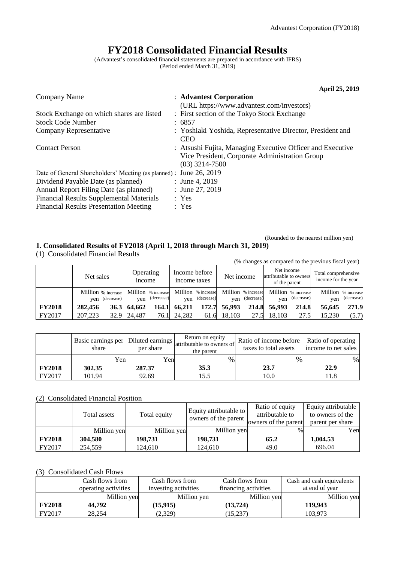# **FY2018 Consolidated Financial Results**

(Advantest's consolidated financial statements are prepared in accordance with IFRS) (Period ended March 31, 2019)

|                                                                    |       | <b>April 25, 2019</b>                                                                                                            |
|--------------------------------------------------------------------|-------|----------------------------------------------------------------------------------------------------------------------------------|
| Company Name                                                       |       | : Advantest Corporation                                                                                                          |
|                                                                    |       | (URL https://www.advantest.com/investors)                                                                                        |
| Stock Exchange on which shares are listed                          |       | : First section of the Tokyo Stock Exchange                                                                                      |
| <b>Stock Code Number</b>                                           |       | : 6857                                                                                                                           |
| Company Representative                                             |       | : Yoshiaki Yoshida, Representative Director, President and<br><b>CEO</b>                                                         |
| <b>Contact Person</b>                                              |       | : Atsushi Fujita, Managing Executive Officer and Executive<br>Vice President, Corporate Administration Group<br>$(03)$ 3214-7500 |
| Date of General Shareholders' Meeting (as planned) : June 26, 2019 |       |                                                                                                                                  |
| Dividend Payable Date (as planned)                                 |       | : June 4, 2019                                                                                                                   |
| Annual Report Filing Date (as planned)                             |       | : June 27, 2019                                                                                                                  |
| <b>Financial Results Supplemental Materials</b>                    |       | : Yes                                                                                                                            |
| <b>Financial Results Presentation Meeting</b>                      | : Yes |                                                                                                                                  |

(Rounded to the nearest million yen)

# **1. Consolidated Results of FY2018 (April 1, 2018 through March 31, 2019)**

(1) Consolidated Financial Results

|               | (% changes as compared to the previous fiscal year) |                                      |                                         |                                      |                                                       |                                            |  |  |  |  |  |
|---------------|-----------------------------------------------------|--------------------------------------|-----------------------------------------|--------------------------------------|-------------------------------------------------------|--------------------------------------------|--|--|--|--|--|
|               | Net sales                                           | Operating<br><i>n</i> come           | Income before<br>income taxes           | Net income                           | Net income<br>attributable to owners<br>of the parent | Total comprehensive<br>income for the year |  |  |  |  |  |
|               | Million % increase<br>yen (decrease)                | Million % increase<br>yen (decrease) | Million % increase<br>(decrease)<br>ven | Million % increase<br>yen (decrease) | Million % increase<br>(decrease)<br>ven               | Million % increase<br>(decrease)<br>ven    |  |  |  |  |  |
| <b>FY2018</b> | 282,456<br>36.3                                     | 64.662<br>164.1                      | 172.7<br>66.211                         | 56,993<br>214.8                      | 56,993<br>214.8                                       | 271.9<br>56,645                            |  |  |  |  |  |
| FY2017        | 207,223                                             | 32.9 24,487<br>76.1                  | 24,282<br>61.6                          | 18,103<br>27.5                       | 18,103<br>27.5                                        | 15.230<br>(5.7)                            |  |  |  |  |  |

|               | Basic earnings per   Diluted earnings  <br>share | per share | Return on equity<br>attributable to owners of<br>the parent | Ratio of income before   Ratio of operating<br>taxes to total assets | income to net sales |
|---------------|--------------------------------------------------|-----------|-------------------------------------------------------------|----------------------------------------------------------------------|---------------------|
|               | Yenl                                             | Yen       | $\%$                                                        | %                                                                    | %                   |
| <b>FY2018</b> | 302.35                                           | 287.37    | 35.3                                                        | 23.7                                                                 | 22.9                |
| FY2017        | 101.94                                           | 92.69     | 15.5                                                        | 10.0                                                                 | 1.8                 |

### (2) Consolidated Financial Position

|               | Total assets | Total equity | Equity attributable to<br>owners of the parent | Ratio of equity<br>attributable to<br>owners of the parent | Equity attributable<br>to owners of the<br>parent per share |
|---------------|--------------|--------------|------------------------------------------------|------------------------------------------------------------|-------------------------------------------------------------|
|               | Million yen  | Million yen  | Million yen                                    | $\%$                                                       | Yen                                                         |
| <b>FY2018</b> | 304.580      | 198.731      | 198.731                                        | 65.2                                                       | 1,004.53                                                    |
| FY2017        | 254,559      | 124.610      | 124.610                                        | 49.0                                                       | 696.04                                                      |

# (3) Consolidated Cash Flows

|               | Cash flows from      | Cash flows from      | Cash flows from      | Cash and cash equivalents |
|---------------|----------------------|----------------------|----------------------|---------------------------|
|               | operating activities | investing activities | financing activities | at end of year            |
|               | Million yen          | Million yen          | Million yen          | Million yen               |
| <b>FY2018</b> | 44.792               | (15, 915)            | (13, 724)            | 119,943                   |
| FY2017        | 28.254               | (2,329)              | (15, 237)            | 103,973                   |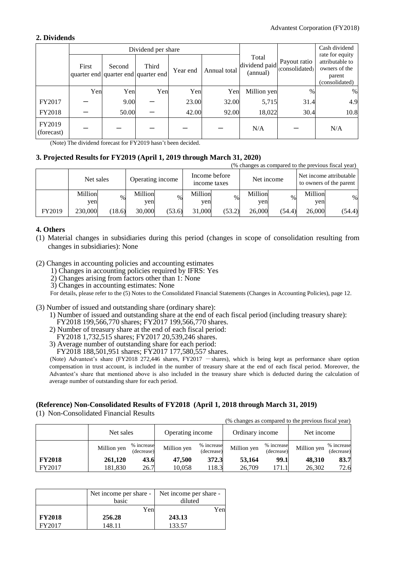### **2. Dividends**

|                      |       |        | Dividend per share                           |          |              |                                    |                                | Cash dividend                                                                   |
|----------------------|-------|--------|----------------------------------------------|----------|--------------|------------------------------------|--------------------------------|---------------------------------------------------------------------------------|
|                      | First | Second | Third<br>quarter end quarter end quarter end | Year end | Annual total | Total<br>dividend paid<br>(annual) | Payout ratio<br>(consolidated) | rate for equity<br>attributable to<br>owners of the<br>parent<br>(consolidated) |
|                      | Yen   | Yen    | Yen                                          | Yen      | Yen          | Million yen                        | $\%$                           | %                                                                               |
| FY2017               |       | 9.00   |                                              | 23.00    | 32.00        | 5,715                              | 31.4                           | 4.9                                                                             |
| FY2018               |       | 50.00  |                                              | 42.00    | 92.00        | 18,022                             | 30.4                           | 10.8                                                                            |
| FY2019<br>(forecast) |       |        |                                              |          |              | N/A                                |                                | N/A                                                                             |

(Note) The dividend forecast for FY2019 hasn't been decided.

## **3. Projected Results for FY2019 (April 1, 2019 through March 31, 2020)**

| (% changes as compared to the previous fiscal year) |           |        |         |                  |                               |        |         |            |         |                                                    |
|-----------------------------------------------------|-----------|--------|---------|------------------|-------------------------------|--------|---------|------------|---------|----------------------------------------------------|
|                                                     | Net sales |        |         | Operating income | Income before<br>income taxes |        |         | Net income |         | Net income attributable<br>to owners of the parent |
|                                                     | Million   | $\%$   | Million | $\frac{0}{0}$    | Million                       | $\%$   | Million | $\%$       | Million | %                                                  |
|                                                     | ven       |        | yen     |                  | ven                           |        | ven     |            | ven     |                                                    |
| FY2019                                              | 230,000   | (18.6) | 30,000  | (53.6)           | 31,000                        | (53.2) | 26,000  | (54.4)     | 26,000  | (54.4)                                             |

### **4. Others**

(1) Material changes in subsidiaries during this period (changes in scope of consolidation resulting from changes in subsidiaries): None

(2) Changes in accounting policies and accounting estimates

- 1) Changes in accounting policies required by IFRS: Yes
- 2) Changes arising from factors other than 1: None
- 3) Changes in accounting estimates: None

For details, please refer to the (5) Notes to the Consolidated Financial Statements (Changes in Accounting Policies), page 12.

- (3) Number of issued and outstanding share (ordinary share):
	- 1) Number of issued and outstanding share at the end of each fiscal period (including treasury share): FY2018 199,566,770 shares; FY2017 199,566,770 shares.
	- 2) Number of treasury share at the end of each fiscal period: FY2018 1,732,515 shares; FY2017 20,539,246 shares.
	- 3) Average number of outstanding share for each period:

FY2018 188,501,951 shares; FY2017 177,580,557 shares.

(Note) Advantest's share (FY2018 272,446 shares, FY2017 - shares), which is being kept as performance share option compensation in trust account, is included in the number of treasury share at the end of each fiscal period. Moreover, the Advantest's share that mentioned above is also included in the treasury share which is deducted during the calculation of average number of outstanding share for each period.

### **(Reference) Non-Consolidated Results of FY2018 (April 1, 2018 through March 31, 2019)**

(1) Non-Consolidated Financial Results

|               |             |                          |                  |                          |                 |                          | (% changes as compared to the previous fiscal year) |                          |
|---------------|-------------|--------------------------|------------------|--------------------------|-----------------|--------------------------|-----------------------------------------------------|--------------------------|
|               | Net sales   |                          | Operating income |                          | Ordinary income |                          | Net income                                          |                          |
|               | Million yen | % increase<br>(decrease) | Million yen      | % increase<br>(decrease) | Million yen     | % increase<br>(decrease) | Million yen                                         | % increase<br>(decrease) |
| <b>FY2018</b> | 261,120     | 43.6                     | 47,500           | 372.3                    | 53,164          | 99.1                     | 48.310                                              | 83.7                     |
| FY2017        | 181,830     | 26.7                     | 10.058           | 118.3                    | 26.709          | .71.1                    | 26,302                                              | 72.6                     |

|               | Net income per share -<br>basic | Net income per share -<br>diluted |  |  |
|---------------|---------------------------------|-----------------------------------|--|--|
|               |                                 |                                   |  |  |
|               | Yen                             | Yen                               |  |  |
| <b>FY2018</b> | 256.28                          | 243.13                            |  |  |
| FY2017        | 148.11                          | 133.57                            |  |  |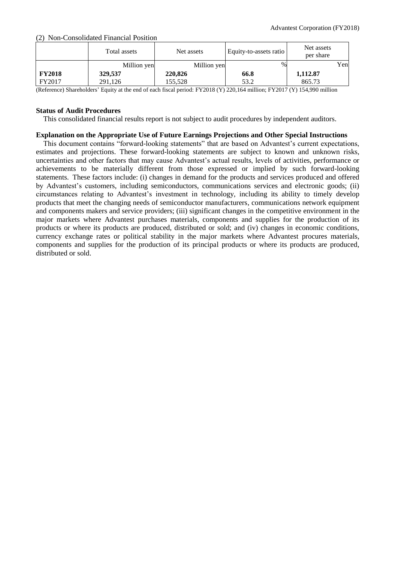(2) Non-Consolidated Financial Position

|               | Total assets | Net assets  | Equity-to-assets ratio | Net assets<br>per share |     |
|---------------|--------------|-------------|------------------------|-------------------------|-----|
|               | Million yen  | Million yen | $\%$                   |                         | Yen |
| <b>FY2018</b> | 329,537      | 220,826     | 66.8                   | 1,112.87                |     |
| FY2017        | 291,126      | 155,528     | 53.2                   | 865.73                  |     |

(Reference) Shareholders' Equity at the end of each fiscal period: FY2018 (Y) 220,164 million; FY2017 (Y) 154,990 million

### **Status of Audit Procedures**

This consolidated financial results report is not subject to audit procedures by independent auditors.

### **Explanation on the Appropriate Use of Future Earnings Projections and Other Special Instructions**

This document contains "forward-looking statements" that are based on Advantest's current expectations, estimates and projections. These forward-looking statements are subject to known and unknown risks, uncertainties and other factors that may cause Advantest's actual results, levels of activities, performance or achievements to be materially different from those expressed or implied by such forward-looking statements. These factors include: (i) changes in demand for the products and services produced and offered by Advantest's customers, including semiconductors, communications services and electronic goods; (ii) circumstances relating to Advantest's investment in technology, including its ability to timely develop products that meet the changing needs of semiconductor manufacturers, communications network equipment and components makers and service providers; (iii) significant changes in the competitive environment in the major markets where Advantest purchases materials, components and supplies for the production of its products or where its products are produced, distributed or sold; and (iv) changes in economic conditions, currency exchange rates or political stability in the major markets where Advantest procures materials, components and supplies for the production of its principal products or where its products are produced, distributed or sold.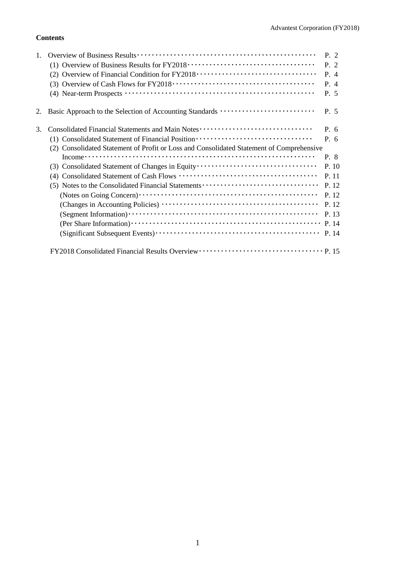# **Contents**

|    |                                                                                          | P. 2  |
|----|------------------------------------------------------------------------------------------|-------|
|    |                                                                                          | P. 2  |
|    | (2) Overview of Financial Condition for FY2018 ·································         | P. 4  |
|    |                                                                                          | P. 4  |
|    |                                                                                          | P. 5  |
| 2. | Basic Approach to the Selection of Accounting Standards                                  | P. 5  |
| 3. | Consolidated Financial Statements and Main Notes ·······························         | P. 6  |
|    | (1) Consolidated Statement of Financial Position ·······························         | P. 6  |
|    | (2) Consolidated Statement of Profit or Loss and Consolidated Statement of Comprehensive |       |
|    |                                                                                          | P. 8  |
|    | (3) Consolidated Statement of Changes in Equity                                          | P. 10 |
|    |                                                                                          | P. 11 |
|    |                                                                                          | P. 12 |
|    |                                                                                          | P. 12 |
|    |                                                                                          | P. 12 |
|    |                                                                                          | P. 13 |
|    |                                                                                          |       |
|    |                                                                                          | P. 14 |
|    |                                                                                          |       |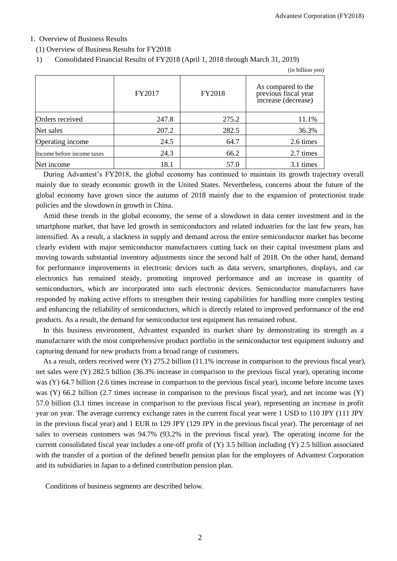## 1. Overview of Business Results

(1) Overview of Business Results for FY2018

## 1) Consolidated Financial Results of FY2018 (April 1, 2018 through March 31, 2019)

|                            |        |        | (in billion yen)                                                  |
|----------------------------|--------|--------|-------------------------------------------------------------------|
|                            | FY2017 | FY2018 | As compared to the<br>previous fiscal year<br>increase (decrease) |
| Orders received            | 247.8  | 275.2  | 11.1%                                                             |
| Net sales                  | 207.2  | 282.5  | 36.3%                                                             |
| Operating income           | 24.5   | 64.7   | 2.6 times                                                         |
| Income before income taxes | 24.3   | 66.2   | 2.7 times                                                         |
| Net income                 | 18.1   | 57.0   | 3.1 times                                                         |

During Advantest's FY2018, the global economy has continued to maintain its growth trajectory overall mainly due to steady economic growth in the United States. Nevertheless, concerns about the future of the global economy have grown since the autumn of 2018 mainly due to the expansion of protectionist trade policies and the slowdown in growth in China.

Amid these trends in the global economy, the sense of a slowdown in data center investment and in the smartphone market, that have led growth in semiconductors and related industries for the last few years, has intensified. As a result, a slackness in supply and demand across the entire semiconductor market has become clearly evident with major semiconductor manufacturers cutting back on their capital investment plans and moving towards substantial inventory adjustments since the second half of 2018. On the other hand, demand for performance improvements in electronic devices such as data servers, smartphones, displays, and car electronics has remained steady, promoting improved performance and an increase in quantity of semiconductors, which are incorporated into such electronic devices. Semiconductor manufacturers have responded by making active efforts to strengthen their testing capabilities for handling more complex testing and enhancing the reliability of semiconductors, which is directly related to improved performance of the end products. As a result, the demand for semiconductor test equipment has remained robust.

In this business environment, Advantest expanded its market share by demonstrating its strength as a manufacturer with the most comprehensive product portfolio in the semiconductor test equipment industry and capturing demand for new products from a broad range of customers.

As a result, orders received were (Y) 275.2 billion (11.1% increase in comparison to the previous fiscal year), net sales were (Y) 282.5 billion (36.3% increase in comparison to the previous fiscal year), operating income was (Y) 64.7 billion (2.6 times increase in comparison to the previous fiscal year), income before income taxes was (Y) 66.2 billion (2.7 times increase in comparison to the previous fiscal year), and net income was (Y) 57.0 billion (3.1 times increase in comparison to the previous fiscal year), representing an increase in profit year on year. The average currency exchange rates in the current fiscal year were 1 USD to 110 JPY (111 JPY in the previous fiscal year) and 1 EUR to 129 JPY (129 JPY in the previous fiscal year). The percentage of net sales to overseas customers was 94.7% (93.2% in the previous fiscal year). The operating income for the current consolidated fiscal year includes a one-off profit of (Y) 3.5 billion including (Y) 2.5 billion associated with the transfer of a portion of the defined benefit pension plan for the employees of Advantest Corporation and its subsidiaries in Japan to a defined contribution pension plan.

Conditions of business segments are described below.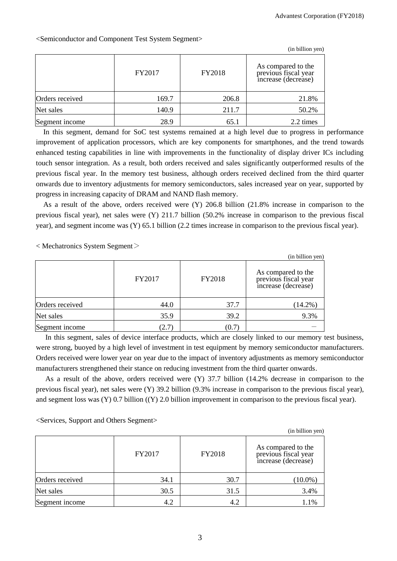(in billion yen)

|                 |        |        | (in billion yen)                                                  |
|-----------------|--------|--------|-------------------------------------------------------------------|
|                 | FY2017 | FY2018 | As compared to the<br>previous fiscal year<br>increase (decrease) |
| Orders received | 169.7  | 206.8  | 21.8%                                                             |
| Net sales       | 140.9  | 211.7  | 50.2%                                                             |
| Segment income  | 28.9   | 65.1   | 2.2 times                                                         |

<Semiconductor and Component Test System Segment>

In this segment, demand for SoC test systems remained at a high level due to progress in performance improvement of application processors, which are key components for smartphones, and the trend towards enhanced testing capabilities in line with improvements in the functionality of display driver ICs including touch sensor integration. As a result, both orders received and sales significantly outperformed results of the previous fiscal year. In the memory test business, although orders received declined from the third quarter onwards due to inventory adjustments for memory semiconductors, sales increased year on year, supported by progress in increasing capacity of DRAM and NAND flash memory.

As a result of the above, orders received were (Y) 206.8 billion (21.8% increase in comparison to the previous fiscal year), net sales were (Y) 211.7 billion (50.2% increase in comparison to the previous fiscal year), and segment income was (Y) 65.1 billion (2.2 times increase in comparison to the previous fiscal year).

 $\langle$  Mechatronics System Segment $\langle$ 

|                 |        |        | (in billion yen)                                                  |
|-----------------|--------|--------|-------------------------------------------------------------------|
|                 | FY2017 | FY2018 | As compared to the<br>previous fiscal year<br>increase (decrease) |
| Orders received | 44.0   | 37.7   | $(14.2\%)$                                                        |
| Net sales       | 35.9   | 39.2   | 9.3%                                                              |
| Segment income  | (2.7)  | (0.7)  |                                                                   |

In this segment, sales of device interface products, which are closely linked to our memory test business, were strong, buoyed by a high level of investment in test equipment by memory semiconductor manufacturers. Orders received were lower year on year due to the impact of inventory adjustments as memory semiconductor manufacturers strengthened their stance on reducing investment from the third quarter onwards.

As a result of the above, orders received were (Y) 37.7 billion (14.2% decrease in comparison to the previous fiscal year), net sales were (Y) 39.2 billion (9.3% increase in comparison to the previous fiscal year), and segment loss was (Y) 0.7 billion ((Y) 2.0 billion improvement in comparison to the previous fiscal year).

<Services, Support and Others Segment>

|                 |        |        | $(in$ billion yen $)$                                             |
|-----------------|--------|--------|-------------------------------------------------------------------|
|                 | FY2017 | FY2018 | As compared to the<br>previous fiscal year<br>increase (decrease) |
| Orders received | 34.1   | 30.7   | $(10.0\%)$                                                        |
| Net sales       | 30.5   | 31.5   | 3.4%                                                              |
| Segment income  | 4.2    | 4.2    | 1.1%                                                              |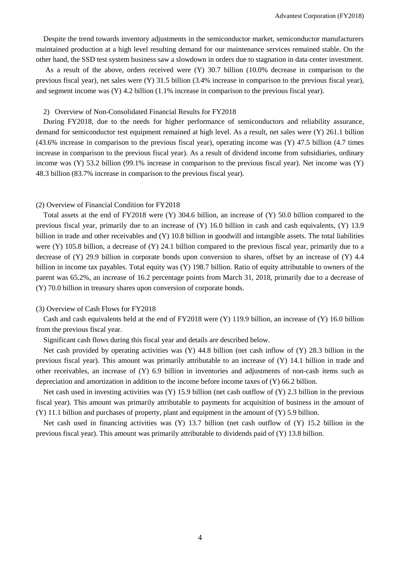Despite the trend towards inventory adjustments in the semiconductor market, semiconductor manufacturers maintained production at a high level resulting demand for our maintenance services remained stable. On the other hand, the SSD test system business saw a slowdown in orders due to stagnation in data center investment.

As a result of the above, orders received were (Y) 30.7 billion (10.0% decrease in comparison to the previous fiscal year), net sales were (Y) 31.5 billion (3.4% increase in comparison to the previous fiscal year), and segment income was (Y) 4.2 billion (1.1% increase in comparison to the previous fiscal year).

#### 2) Overview of Non-Consolidated Financial Results for FY2018

During FY2018, due to the needs for higher performance of semiconductors and reliability assurance, demand for semiconductor test equipment remained at high level. As a result, net sales were (Y) 261.1 billion (43.6% increase in comparison to the previous fiscal year), operating income was (Y) 47.5 billion (4.7 times increase in comparison to the previous fiscal year). As a result of dividend income from subsidiaries, ordinary income was (Y) 53.2 billion (99.1% increase in comparison to the previous fiscal year). Net income was (Y) 48.3 billion (83.7% increase in comparison to the previous fiscal year).

### (2) Overview of Financial Condition for FY2018

Total assets at the end of FY2018 were (Y) 304.6 billion, an increase of (Y) 50.0 billion compared to the previous fiscal year, primarily due to an increase of (Y) 16.0 billion in cash and cash equivalents, (Y) 13.9 billion in trade and other receivables and (Y) 10.8 billion in goodwill and intangible assets. The total liabilities were (Y) 105.8 billion, a decrease of (Y) 24.1 billion compared to the previous fiscal year, primarily due to a decrease of (Y) 29.9 billion in corporate bonds upon conversion to shares, offset by an increase of (Y) 4.4 billion in income tax payables. Total equity was (Y) 198.7 billion. Ratio of equity attributable to owners of the parent was 65.2%, an increase of 16.2 percentage points from March 31, 2018, primarily due to a decrease of (Y) 70.0 billion in treasury shares upon conversion of corporate bonds.

### (3) Overview of Cash Flows for FY2018

Cash and cash equivalents held at the end of FY2018 were (Y) 119.9 billion, an increase of (Y) 16.0 billion from the previous fiscal year.

Significant cash flows during this fiscal year and details are described below.

Net cash provided by operating activities was (Y) 44.8 billion (net cash inflow of (Y) 28.3 billion in the previous fiscal year). This amount was primarily attributable to an increase of (Y) 14.1 billion in trade and other receivables, an increase of (Y) 6.9 billion in inventories and adjustments of non-cash items such as depreciation and amortization in addition to the income before income taxes of (Y) 66.2 billion.

Net cash used in investing activities was  $(Y)$  15.9 billion (net cash outflow of  $(Y)$ ) 2.3 billion in the previous fiscal year). This amount was primarily attributable to payments for acquisition of business in the amount of (Y) 11.1 billion and purchases of property, plant and equipment in the amount of (Y) 5.9 billion.

Net cash used in financing activities was (Y) 13.7 billion (net cash outflow of (Y) 15.2 billion in the previous fiscal year). This amount was primarily attributable to dividends paid of (Y) 13.8 billion.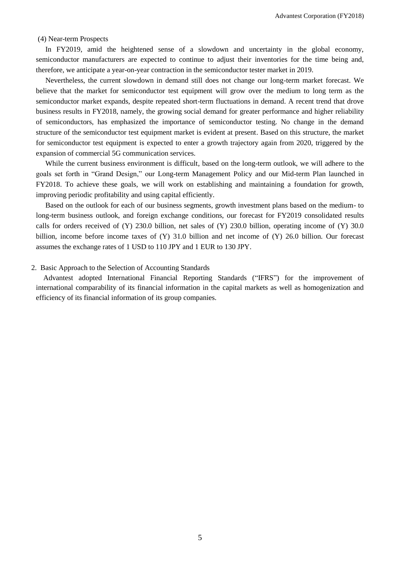(4) Near-term Prospects

In FY2019, amid the heightened sense of a slowdown and uncertainty in the global economy, semiconductor manufacturers are expected to continue to adjust their inventories for the time being and, therefore, we anticipate a year-on-year contraction in the semiconductor tester market in 2019.

Nevertheless, the current slowdown in demand still does not change our long-term market forecast. We believe that the market for semiconductor test equipment will grow over the medium to long term as the semiconductor market expands, despite repeated short-term fluctuations in demand. A recent trend that drove business results in FY2018, namely, the growing social demand for greater performance and higher reliability of semiconductors, has emphasized the importance of semiconductor testing. No change in the demand structure of the semiconductor test equipment market is evident at present. Based on this structure, the market for semiconductor test equipment is expected to enter a growth trajectory again from 2020, triggered by the expansion of commercial 5G communication services.

While the current business environment is difficult, based on the long-term outlook, we will adhere to the goals set forth in "Grand Design," our Long-term Management Policy and our Mid-term Plan launched in FY2018. To achieve these goals, we will work on establishing and maintaining a foundation for growth, improving periodic profitability and using capital efficiently.

Based on the outlook for each of our business segments, growth investment plans based on the medium- to long-term business outlook, and foreign exchange conditions, our forecast for FY2019 consolidated results calls for orders received of (Y) 230.0 billion, net sales of (Y) 230.0 billion, operating income of (Y) 30.0 billion, income before income taxes of (Y) 31.0 billion and net income of (Y) 26.0 billion. Our forecast assumes the exchange rates of 1 USD to 110 JPY and 1 EUR to 130 JPY.

### 2. Basic Approach to the Selection of Accounting Standards

Advantest adopted International Financial Reporting Standards ("IFRS") for the improvement of international comparability of its financial information in the capital markets as well as homogenization and efficiency of its financial information of its group companies.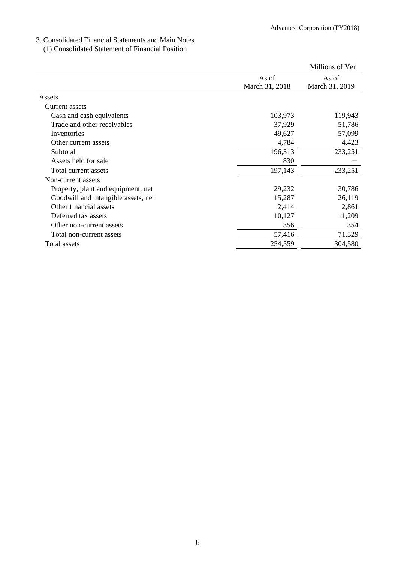## 3. Consolidated Financial Statements and Main Notes

(1) Consolidated Statement of Financial Position

|                                     |                | Millions of Yen |
|-------------------------------------|----------------|-----------------|
|                                     | As of          | As of           |
|                                     | March 31, 2018 | March 31, 2019  |
| Assets                              |                |                 |
| Current assets                      |                |                 |
| Cash and cash equivalents           | 103,973        | 119,943         |
| Trade and other receivables         | 37,929         | 51,786          |
| Inventories                         | 49,627         | 57,099          |
| Other current assets                | 4,784          | 4,423           |
| Subtotal                            | 196,313        | 233,251         |
| Assets held for sale                | 830            |                 |
| Total current assets                | 197,143        | 233,251         |
| Non-current assets                  |                |                 |
| Property, plant and equipment, net  | 29,232         | 30,786          |
| Goodwill and intangible assets, net | 15,287         | 26,119          |
| Other financial assets              | 2,414          | 2,861           |
| Deferred tax assets                 | 10,127         | 11,209          |
| Other non-current assets            | 356            | 354             |
| Total non-current assets            | 57,416         | 71,329          |
| Total assets                        | 254,559        | 304,580         |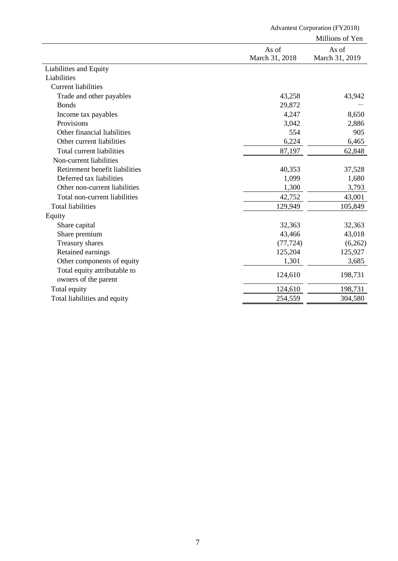|                                | <b>Advantest Corporation (FY2018)</b> |                 |  |
|--------------------------------|---------------------------------------|-----------------|--|
|                                |                                       | Millions of Yen |  |
|                                | As of                                 | As of           |  |
|                                | March 31, 2018                        | March 31, 2019  |  |
| Liabilities and Equity         |                                       |                 |  |
| Liabilities                    |                                       |                 |  |
| <b>Current liabilities</b>     |                                       |                 |  |
| Trade and other payables       | 43,258                                | 43,942          |  |
| <b>Bonds</b>                   | 29,872                                |                 |  |
| Income tax payables            | 4,247                                 | 8,650           |  |
| Provisions                     | 3,042                                 | 2,886           |  |
| Other financial liabilities    | 554                                   | 905             |  |
| Other current liabilities      | 6,224                                 | 6,465           |  |
| Total current liabilities      | 87,197                                | 62,848          |  |
| Non-current liabilities        |                                       |                 |  |
| Retirement benefit liabilities | 40,353                                | 37,528          |  |
| Deferred tax liabilities       | 1,099                                 | 1,680           |  |
| Other non-current liabilities  | 1,300                                 | 3,793           |  |
| Total non-current liabilities  | 42,752                                | 43,001          |  |
| <b>Total liabilities</b>       | 129,949                               | 105,849         |  |
| Equity                         |                                       |                 |  |
| Share capital                  | 32,363                                | 32,363          |  |
| Share premium                  | 43,466                                | 43,018          |  |
| Treasury shares                | (77, 724)                             | (6,262)         |  |
| Retained earnings              | 125,204                               | 125,927         |  |
| Other components of equity     | 1,301                                 | 3,685           |  |
| Total equity attributable to   |                                       |                 |  |
| owners of the parent           | 124,610                               | 198,731         |  |
| Total equity                   | 124,610                               | 198,731         |  |
| Total liabilities and equity   | 254,559                               | 304,580         |  |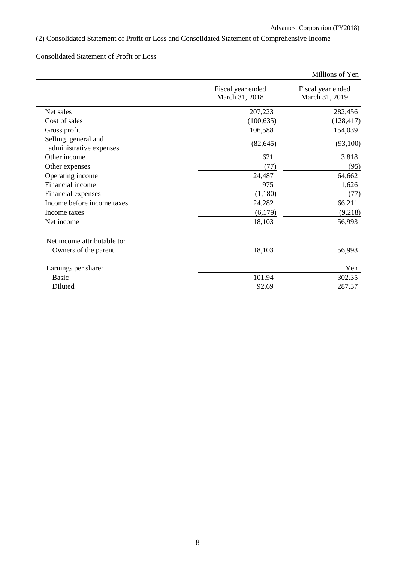# (2) Consolidated Statement of Profit or Loss and Consolidated Statement of Comprehensive Income

# Consolidated Statement of Profit or Loss

|                                                 |                                     | Millions of Yen                     |
|-------------------------------------------------|-------------------------------------|-------------------------------------|
|                                                 | Fiscal year ended<br>March 31, 2018 | Fiscal year ended<br>March 31, 2019 |
| Net sales                                       | 207,223                             | 282,456                             |
| Cost of sales                                   | (100, 635)                          | (128, 417)                          |
| Gross profit                                    | 106,588                             | 154,039                             |
| Selling, general and<br>administrative expenses | (82, 645)                           | (93,100)                            |
| Other income                                    | 621                                 | 3,818                               |
| Other expenses                                  | (77)                                | (95)                                |
| Operating income                                | 24,487                              | 64,662                              |
| Financial income                                | 975                                 | 1,626                               |
| Financial expenses                              | (1,180)                             | (77)                                |
| Income before income taxes                      | 24,282                              | 66,211                              |
| Income taxes                                    | (6,179)                             | (9,218)                             |
| Net income                                      | 18,103                              | 56,993                              |
| Net income attributable to:                     |                                     |                                     |
| Owners of the parent                            | 18,103                              | 56,993                              |
| Earnings per share:                             |                                     | Yen                                 |
| <b>Basic</b>                                    | 101.94                              | 302.35                              |
| Diluted                                         | 92.69                               | 287.37                              |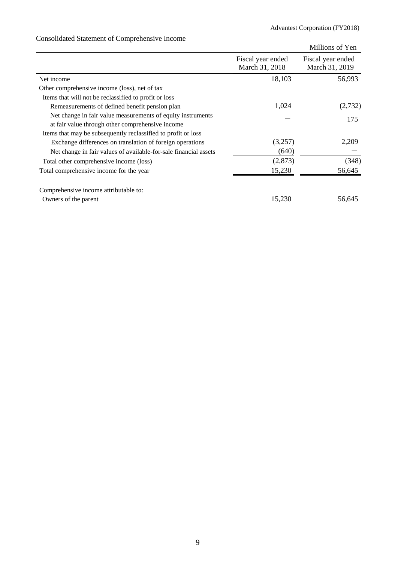# Consolidated Statement of Comprehensive Income

|                                                                  |                                     | Millions of Yen                     |
|------------------------------------------------------------------|-------------------------------------|-------------------------------------|
|                                                                  | Fiscal year ended<br>March 31, 2018 | Fiscal year ended<br>March 31, 2019 |
| Net income                                                       | 18,103                              | 56,993                              |
| Other comprehensive income (loss), net of tax                    |                                     |                                     |
| Items that will not be reclassified to profit or loss            |                                     |                                     |
| Remeasurements of defined benefit pension plan                   | 1,024                               | (2,732)                             |
| Net change in fair value measurements of equity instruments      |                                     | 175                                 |
| at fair value through other comprehensive income                 |                                     |                                     |
| Items that may be subsequently reclassified to profit or loss    |                                     |                                     |
| Exchange differences on translation of foreign operations        | (3,257)                             | 2,209                               |
| Net change in fair values of available-for-sale financial assets | (640)                               |                                     |
| Total other comprehensive income (loss)                          | (2, 873)                            | (348)                               |
| Total comprehensive income for the year                          | 15,230                              | 56,645                              |
| Comprehensive income attributable to:                            |                                     |                                     |
| Owners of the parent                                             | 15,230                              | 56,645                              |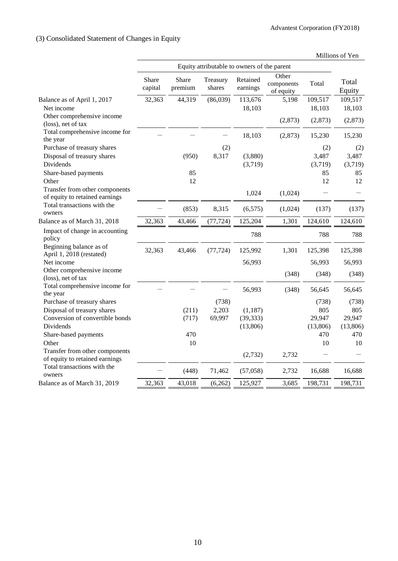# (3) Consolidated Statement of Changes in Equity

| Equity attributable to owners of the parent<br>Other<br>Share<br><b>Share</b><br>Retained<br>Treasury<br>Total<br>components<br>Total<br>premium<br>earnings<br>capital<br>shares<br>Equity<br>of equity<br>109,517<br>109,517<br>32,363<br>44,319<br>(86,039)<br>113,676<br>Balance as of April 1, 2017<br>5,198<br>18,103<br>18,103<br>Net income<br>18,103<br>Other comprehensive income<br>(2,873)<br>(2,873)<br>(2,873)<br>(loss), net of tax<br>Total comprehensive income for<br>18,103<br>(2,873)<br>15,230<br>15,230<br>the year<br>Purchase of treasury shares<br>(2)<br>(2)<br>(2)<br>Disposal of treasury shares<br>3,487<br>(950)<br>8,317<br>(3,880)<br>3,487<br><b>Dividends</b><br>(3,719)<br>(3,719)<br>(3,719)<br>85<br>Share-based payments<br>85<br>85<br>12<br>Other<br>12<br>12<br>Transfer from other components<br>1,024<br>(1,024)<br>of equity to retained earnings<br>Total transactions with the<br>(853)<br>8,315<br>(137)<br>(6,575)<br>(1,024)<br>(137)<br>owners<br>32,363<br>Balance as of March 31, 2018<br>43,466<br>(77, 724)<br>125,204<br>1,301<br>124,610<br>124,610<br>Impact of change in accounting<br>788<br>788<br>788<br>policy<br>Beginning balance as of<br>32,363<br>43,466<br>1,301<br>(77, 724)<br>125,992<br>125,398<br>125,398<br>April 1, 2018 (restated)<br>Net income<br>56,993<br>56,993<br>56,993<br>Other comprehensive income<br>(348)<br>(348)<br>(348)<br>(loss), net of tax<br>Total comprehensive income for<br>56,993<br>(348)<br>56,645<br>56,645<br>the year<br>Purchase of treasury shares<br>(738)<br>(738)<br>(738)<br>Disposal of treasury shares<br>(211)<br>2,203<br>805<br>805<br>(1,187)<br>Conversion of convertible bonds<br>(717)<br>69,997<br>(39, 333)<br>29,947<br>29,947<br>Dividends<br>(13,806)<br>(13,806)<br>(13,806)<br>470<br>470<br>Share-based payments<br>470<br>Other<br>10<br>10<br>10<br>Transfer from other components<br>(2,732)<br>2,732<br>of equity to retained earnings<br>Total transactions with the<br>(448)<br>71,462<br>(57,058)<br>2,732<br>16,688<br>16,688<br>owners<br>Balance as of March 31, 2019<br>32,363<br>43,018<br>125,927<br>198,731<br>198,731<br>(6,262)<br>3,685 |  |  |  | Millions of Yen |
|------------------------------------------------------------------------------------------------------------------------------------------------------------------------------------------------------------------------------------------------------------------------------------------------------------------------------------------------------------------------------------------------------------------------------------------------------------------------------------------------------------------------------------------------------------------------------------------------------------------------------------------------------------------------------------------------------------------------------------------------------------------------------------------------------------------------------------------------------------------------------------------------------------------------------------------------------------------------------------------------------------------------------------------------------------------------------------------------------------------------------------------------------------------------------------------------------------------------------------------------------------------------------------------------------------------------------------------------------------------------------------------------------------------------------------------------------------------------------------------------------------------------------------------------------------------------------------------------------------------------------------------------------------------------------------------------------------------------------------------------------------------------------------------------------------------------------------------------------------------------------------------------------------------------------------------------------------------------------------------------------------------------------------------------------------------------------------------------------------------------------------------------------------------------------------------|--|--|--|-----------------|
|                                                                                                                                                                                                                                                                                                                                                                                                                                                                                                                                                                                                                                                                                                                                                                                                                                                                                                                                                                                                                                                                                                                                                                                                                                                                                                                                                                                                                                                                                                                                                                                                                                                                                                                                                                                                                                                                                                                                                                                                                                                                                                                                                                                          |  |  |  |                 |
|                                                                                                                                                                                                                                                                                                                                                                                                                                                                                                                                                                                                                                                                                                                                                                                                                                                                                                                                                                                                                                                                                                                                                                                                                                                                                                                                                                                                                                                                                                                                                                                                                                                                                                                                                                                                                                                                                                                                                                                                                                                                                                                                                                                          |  |  |  |                 |
|                                                                                                                                                                                                                                                                                                                                                                                                                                                                                                                                                                                                                                                                                                                                                                                                                                                                                                                                                                                                                                                                                                                                                                                                                                                                                                                                                                                                                                                                                                                                                                                                                                                                                                                                                                                                                                                                                                                                                                                                                                                                                                                                                                                          |  |  |  |                 |
|                                                                                                                                                                                                                                                                                                                                                                                                                                                                                                                                                                                                                                                                                                                                                                                                                                                                                                                                                                                                                                                                                                                                                                                                                                                                                                                                                                                                                                                                                                                                                                                                                                                                                                                                                                                                                                                                                                                                                                                                                                                                                                                                                                                          |  |  |  |                 |
|                                                                                                                                                                                                                                                                                                                                                                                                                                                                                                                                                                                                                                                                                                                                                                                                                                                                                                                                                                                                                                                                                                                                                                                                                                                                                                                                                                                                                                                                                                                                                                                                                                                                                                                                                                                                                                                                                                                                                                                                                                                                                                                                                                                          |  |  |  |                 |
|                                                                                                                                                                                                                                                                                                                                                                                                                                                                                                                                                                                                                                                                                                                                                                                                                                                                                                                                                                                                                                                                                                                                                                                                                                                                                                                                                                                                                                                                                                                                                                                                                                                                                                                                                                                                                                                                                                                                                                                                                                                                                                                                                                                          |  |  |  |                 |
|                                                                                                                                                                                                                                                                                                                                                                                                                                                                                                                                                                                                                                                                                                                                                                                                                                                                                                                                                                                                                                                                                                                                                                                                                                                                                                                                                                                                                                                                                                                                                                                                                                                                                                                                                                                                                                                                                                                                                                                                                                                                                                                                                                                          |  |  |  |                 |
|                                                                                                                                                                                                                                                                                                                                                                                                                                                                                                                                                                                                                                                                                                                                                                                                                                                                                                                                                                                                                                                                                                                                                                                                                                                                                                                                                                                                                                                                                                                                                                                                                                                                                                                                                                                                                                                                                                                                                                                                                                                                                                                                                                                          |  |  |  |                 |
|                                                                                                                                                                                                                                                                                                                                                                                                                                                                                                                                                                                                                                                                                                                                                                                                                                                                                                                                                                                                                                                                                                                                                                                                                                                                                                                                                                                                                                                                                                                                                                                                                                                                                                                                                                                                                                                                                                                                                                                                                                                                                                                                                                                          |  |  |  |                 |
|                                                                                                                                                                                                                                                                                                                                                                                                                                                                                                                                                                                                                                                                                                                                                                                                                                                                                                                                                                                                                                                                                                                                                                                                                                                                                                                                                                                                                                                                                                                                                                                                                                                                                                                                                                                                                                                                                                                                                                                                                                                                                                                                                                                          |  |  |  |                 |
|                                                                                                                                                                                                                                                                                                                                                                                                                                                                                                                                                                                                                                                                                                                                                                                                                                                                                                                                                                                                                                                                                                                                                                                                                                                                                                                                                                                                                                                                                                                                                                                                                                                                                                                                                                                                                                                                                                                                                                                                                                                                                                                                                                                          |  |  |  |                 |
|                                                                                                                                                                                                                                                                                                                                                                                                                                                                                                                                                                                                                                                                                                                                                                                                                                                                                                                                                                                                                                                                                                                                                                                                                                                                                                                                                                                                                                                                                                                                                                                                                                                                                                                                                                                                                                                                                                                                                                                                                                                                                                                                                                                          |  |  |  |                 |
|                                                                                                                                                                                                                                                                                                                                                                                                                                                                                                                                                                                                                                                                                                                                                                                                                                                                                                                                                                                                                                                                                                                                                                                                                                                                                                                                                                                                                                                                                                                                                                                                                                                                                                                                                                                                                                                                                                                                                                                                                                                                                                                                                                                          |  |  |  |                 |
|                                                                                                                                                                                                                                                                                                                                                                                                                                                                                                                                                                                                                                                                                                                                                                                                                                                                                                                                                                                                                                                                                                                                                                                                                                                                                                                                                                                                                                                                                                                                                                                                                                                                                                                                                                                                                                                                                                                                                                                                                                                                                                                                                                                          |  |  |  |                 |
|                                                                                                                                                                                                                                                                                                                                                                                                                                                                                                                                                                                                                                                                                                                                                                                                                                                                                                                                                                                                                                                                                                                                                                                                                                                                                                                                                                                                                                                                                                                                                                                                                                                                                                                                                                                                                                                                                                                                                                                                                                                                                                                                                                                          |  |  |  |                 |
|                                                                                                                                                                                                                                                                                                                                                                                                                                                                                                                                                                                                                                                                                                                                                                                                                                                                                                                                                                                                                                                                                                                                                                                                                                                                                                                                                                                                                                                                                                                                                                                                                                                                                                                                                                                                                                                                                                                                                                                                                                                                                                                                                                                          |  |  |  |                 |
|                                                                                                                                                                                                                                                                                                                                                                                                                                                                                                                                                                                                                                                                                                                                                                                                                                                                                                                                                                                                                                                                                                                                                                                                                                                                                                                                                                                                                                                                                                                                                                                                                                                                                                                                                                                                                                                                                                                                                                                                                                                                                                                                                                                          |  |  |  |                 |
|                                                                                                                                                                                                                                                                                                                                                                                                                                                                                                                                                                                                                                                                                                                                                                                                                                                                                                                                                                                                                                                                                                                                                                                                                                                                                                                                                                                                                                                                                                                                                                                                                                                                                                                                                                                                                                                                                                                                                                                                                                                                                                                                                                                          |  |  |  |                 |
|                                                                                                                                                                                                                                                                                                                                                                                                                                                                                                                                                                                                                                                                                                                                                                                                                                                                                                                                                                                                                                                                                                                                                                                                                                                                                                                                                                                                                                                                                                                                                                                                                                                                                                                                                                                                                                                                                                                                                                                                                                                                                                                                                                                          |  |  |  |                 |
|                                                                                                                                                                                                                                                                                                                                                                                                                                                                                                                                                                                                                                                                                                                                                                                                                                                                                                                                                                                                                                                                                                                                                                                                                                                                                                                                                                                                                                                                                                                                                                                                                                                                                                                                                                                                                                                                                                                                                                                                                                                                                                                                                                                          |  |  |  |                 |
|                                                                                                                                                                                                                                                                                                                                                                                                                                                                                                                                                                                                                                                                                                                                                                                                                                                                                                                                                                                                                                                                                                                                                                                                                                                                                                                                                                                                                                                                                                                                                                                                                                                                                                                                                                                                                                                                                                                                                                                                                                                                                                                                                                                          |  |  |  |                 |
|                                                                                                                                                                                                                                                                                                                                                                                                                                                                                                                                                                                                                                                                                                                                                                                                                                                                                                                                                                                                                                                                                                                                                                                                                                                                                                                                                                                                                                                                                                                                                                                                                                                                                                                                                                                                                                                                                                                                                                                                                                                                                                                                                                                          |  |  |  |                 |
|                                                                                                                                                                                                                                                                                                                                                                                                                                                                                                                                                                                                                                                                                                                                                                                                                                                                                                                                                                                                                                                                                                                                                                                                                                                                                                                                                                                                                                                                                                                                                                                                                                                                                                                                                                                                                                                                                                                                                                                                                                                                                                                                                                                          |  |  |  |                 |
|                                                                                                                                                                                                                                                                                                                                                                                                                                                                                                                                                                                                                                                                                                                                                                                                                                                                                                                                                                                                                                                                                                                                                                                                                                                                                                                                                                                                                                                                                                                                                                                                                                                                                                                                                                                                                                                                                                                                                                                                                                                                                                                                                                                          |  |  |  |                 |
|                                                                                                                                                                                                                                                                                                                                                                                                                                                                                                                                                                                                                                                                                                                                                                                                                                                                                                                                                                                                                                                                                                                                                                                                                                                                                                                                                                                                                                                                                                                                                                                                                                                                                                                                                                                                                                                                                                                                                                                                                                                                                                                                                                                          |  |  |  |                 |
|                                                                                                                                                                                                                                                                                                                                                                                                                                                                                                                                                                                                                                                                                                                                                                                                                                                                                                                                                                                                                                                                                                                                                                                                                                                                                                                                                                                                                                                                                                                                                                                                                                                                                                                                                                                                                                                                                                                                                                                                                                                                                                                                                                                          |  |  |  |                 |
|                                                                                                                                                                                                                                                                                                                                                                                                                                                                                                                                                                                                                                                                                                                                                                                                                                                                                                                                                                                                                                                                                                                                                                                                                                                                                                                                                                                                                                                                                                                                                                                                                                                                                                                                                                                                                                                                                                                                                                                                                                                                                                                                                                                          |  |  |  |                 |
|                                                                                                                                                                                                                                                                                                                                                                                                                                                                                                                                                                                                                                                                                                                                                                                                                                                                                                                                                                                                                                                                                                                                                                                                                                                                                                                                                                                                                                                                                                                                                                                                                                                                                                                                                                                                                                                                                                                                                                                                                                                                                                                                                                                          |  |  |  |                 |
|                                                                                                                                                                                                                                                                                                                                                                                                                                                                                                                                                                                                                                                                                                                                                                                                                                                                                                                                                                                                                                                                                                                                                                                                                                                                                                                                                                                                                                                                                                                                                                                                                                                                                                                                                                                                                                                                                                                                                                                                                                                                                                                                                                                          |  |  |  |                 |
|                                                                                                                                                                                                                                                                                                                                                                                                                                                                                                                                                                                                                                                                                                                                                                                                                                                                                                                                                                                                                                                                                                                                                                                                                                                                                                                                                                                                                                                                                                                                                                                                                                                                                                                                                                                                                                                                                                                                                                                                                                                                                                                                                                                          |  |  |  |                 |
|                                                                                                                                                                                                                                                                                                                                                                                                                                                                                                                                                                                                                                                                                                                                                                                                                                                                                                                                                                                                                                                                                                                                                                                                                                                                                                                                                                                                                                                                                                                                                                                                                                                                                                                                                                                                                                                                                                                                                                                                                                                                                                                                                                                          |  |  |  |                 |
|                                                                                                                                                                                                                                                                                                                                                                                                                                                                                                                                                                                                                                                                                                                                                                                                                                                                                                                                                                                                                                                                                                                                                                                                                                                                                                                                                                                                                                                                                                                                                                                                                                                                                                                                                                                                                                                                                                                                                                                                                                                                                                                                                                                          |  |  |  |                 |
|                                                                                                                                                                                                                                                                                                                                                                                                                                                                                                                                                                                                                                                                                                                                                                                                                                                                                                                                                                                                                                                                                                                                                                                                                                                                                                                                                                                                                                                                                                                                                                                                                                                                                                                                                                                                                                                                                                                                                                                                                                                                                                                                                                                          |  |  |  |                 |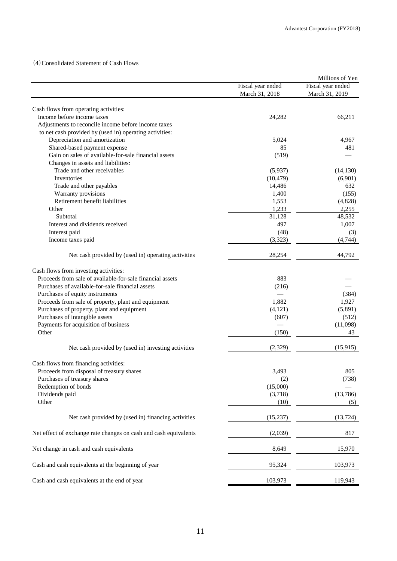(4)Consolidated Statement of Cash Flows

|                                                                  |                                     | Millions of Yen                     |
|------------------------------------------------------------------|-------------------------------------|-------------------------------------|
|                                                                  | Fiscal year ended<br>March 31, 2018 | Fiscal year ended<br>March 31, 2019 |
| Cash flows from operating activities:                            |                                     |                                     |
| Income before income taxes                                       | 24,282                              | 66,211                              |
| Adjustments to reconcile income before income taxes              |                                     |                                     |
| to net cash provided by (used in) operating activities:          |                                     |                                     |
| Depreciation and amortization                                    | 5,024                               | 4,967                               |
| Shared-based payment expense                                     | 85                                  | 481                                 |
| Gain on sales of available-for-sale financial assets             | (519)                               |                                     |
| Changes in assets and liabilities:                               |                                     |                                     |
| Trade and other receivables                                      | (5,937)                             | (14, 130)                           |
| Inventories                                                      | (10, 479)                           | (6,901)                             |
| Trade and other payables                                         | 14,486                              | 632                                 |
| Warranty provisions                                              | 1,400                               | (155)                               |
| Retirement benefit liabilities                                   | 1,553                               | (4,828)                             |
| Other                                                            | 1,233                               | 2,255                               |
| Subtotal                                                         | 31,128                              | 48,532                              |
| Interest and dividends received                                  | 497                                 | 1,007                               |
| Interest paid                                                    | (48)                                |                                     |
|                                                                  |                                     | (3)                                 |
| Income taxes paid                                                | (3,323)                             | (4,744)                             |
| Net cash provided by (used in) operating activities              | 28,254                              | 44,792                              |
| Cash flows from investing activities:                            |                                     |                                     |
| Proceeds from sale of available-for-sale financial assets        | 883                                 |                                     |
| Purchases of available-for-sale financial assets                 | (216)                               |                                     |
| Purchases of equity instruments                                  |                                     | (384)                               |
| Proceeds from sale of property, plant and equipment              | 1,882                               | 1,927                               |
| Purchases of property, plant and equipment                       | (4,121)                             | (5,891)                             |
| Purchases of intangible assets                                   | (607)                               | (512)                               |
| Payments for acquisition of business                             |                                     | (11,098)                            |
| Other                                                            | (150)                               | 43                                  |
| Net cash provided by (used in) investing activities              | (2,329)                             | (15, 915)                           |
| Cash flows from financing activities:                            |                                     |                                     |
| Proceeds from disposal of treasury shares                        | 3,493                               | 805                                 |
| Purchases of treasury shares                                     | (2)                                 | (738)                               |
| Redemption of bonds                                              | (15,000)                            |                                     |
| Dividends paid                                                   | (3,718)                             | (13,786)                            |
| Other                                                            | (10)                                | (5)                                 |
| Net cash provided by (used in) financing activities              | (15,237)                            | (13, 724)                           |
| Net effect of exchange rate changes on cash and cash equivalents | (2,039)                             | 817                                 |
| Net change in cash and cash equivalents                          | 8,649                               | 15,970                              |
| Cash and cash equivalents at the beginning of year               | 95,324                              | 103,973                             |
| Cash and cash equivalents at the end of year                     | 103,973                             | 119,943                             |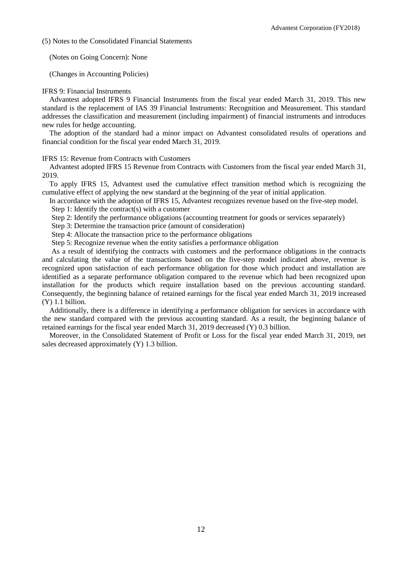(5) Notes to the Consolidated Financial Statements

(Notes on Going Concern): None

(Changes in Accounting Policies)

### IFRS 9: Financial Instruments

Advantest adopted IFRS 9 Financial Instruments from the fiscal year ended March 31, 2019. This new standard is the replacement of IAS 39 Financial Instruments: Recognition and Measurement. This standard addresses the classification and measurement (including impairment) of financial instruments and introduces new rules for hedge accounting.

The adoption of the standard had a minor impact on Advantest consolidated results of operations and financial condition for the fiscal year ended March 31, 2019.

IFRS 15: Revenue from Contracts with Customers

Advantest adopted IFRS 15 Revenue from Contracts with Customers from the fiscal year ended March 31, 2019.

To apply IFRS 15, Advantest used the cumulative effect transition method which is recognizing the cumulative effect of applying the new standard at the beginning of the year of initial application.

In accordance with the adoption of IFRS 15, Advantest recognizes revenue based on the five-step model.

Step 1: Identify the contract(s) with a customer

Step 2: Identify the performance obligations (accounting treatment for goods or services separately)

Step 3: Determine the transaction price (amount of consideration)

Step 4: Allocate the transaction price to the performance obligations

Step 5: Recognize revenue when the entity satisfies a performance obligation

As a result of identifying the contracts with customers and the performance obligations in the contracts and calculating the value of the transactions based on the five-step model indicated above, revenue is recognized upon satisfaction of each performance obligation for those which product and installation are identified as a separate performance obligation compared to the revenue which had been recognized upon installation for the products which require installation based on the previous accounting standard. Consequently, the beginning balance of retained earnings for the fiscal year ended March 31, 2019 increased (Y) 1.1 billion.

Additionally, there is a difference in identifying a performance obligation for services in accordance with the new standard compared with the previous accounting standard. As a result, the beginning balance of retained earnings for the fiscal year ended March 31, 2019 decreased (Y) 0.3 billion.

Moreover, in the Consolidated Statement of Profit or Loss for the fiscal year ended March 31, 2019, net sales decreased approximately (Y) 1.3 billion.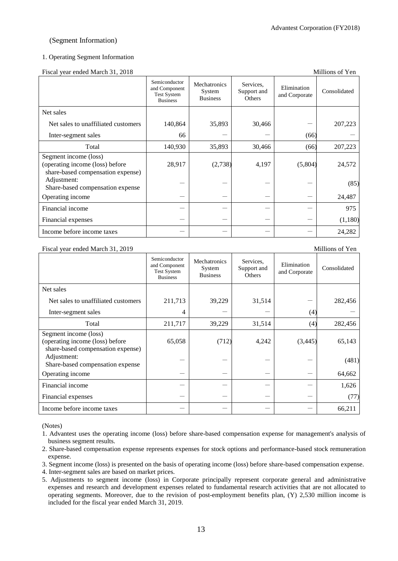### (Segment Information)

### 1. Operating Segment Information

Fiscal year ended March 31, 2018 Millions of Yen

|                                                                                               | Semiconductor<br>and Component<br><b>Test System</b><br><b>Business</b> | Mechatronics<br>System<br><b>Business</b> | Services,<br>Support and<br>Others | Elimination<br>and Corporate | Consolidated |
|-----------------------------------------------------------------------------------------------|-------------------------------------------------------------------------|-------------------------------------------|------------------------------------|------------------------------|--------------|
| Net sales                                                                                     |                                                                         |                                           |                                    |                              |              |
| Net sales to unaffiliated customers                                                           | 140,864                                                                 | 35,893                                    | 30,466                             |                              | 207,223      |
| Inter-segment sales                                                                           | 66                                                                      |                                           |                                    | (66)                         |              |
| Total                                                                                         | 140,930                                                                 | 35,893                                    | 30,466                             | (66)                         | 207,223      |
| Segment income (loss)<br>(operating income (loss) before<br>share-based compensation expense) | 28,917                                                                  | (2,738)                                   | 4,197                              | (5,804)                      | 24,572       |
| Adjustment:<br>Share-based compensation expense                                               |                                                                         |                                           |                                    |                              | (85)         |
| Operating income                                                                              |                                                                         |                                           |                                    |                              | 24,487       |
| Financial income                                                                              |                                                                         |                                           |                                    |                              | 975          |
| Financial expenses                                                                            |                                                                         |                                           |                                    |                              | (1,180)      |
| Income before income taxes                                                                    |                                                                         |                                           |                                    |                              | 24,282       |

#### Fiscal year ended March 31, 2019 Millions of Yen

|                                                                                               | Semiconductor<br>and Component<br><b>Test System</b><br><b>Business</b> | <b>Mechatronics</b><br>System<br><b>Business</b> | Services,<br>Support and<br>Others | Elimination<br>and Corporate | Consolidated |
|-----------------------------------------------------------------------------------------------|-------------------------------------------------------------------------|--------------------------------------------------|------------------------------------|------------------------------|--------------|
| Net sales                                                                                     |                                                                         |                                                  |                                    |                              |              |
| Net sales to unaffiliated customers                                                           | 211,713                                                                 | 39,229                                           | 31,514                             |                              | 282,456      |
| Inter-segment sales                                                                           | 4                                                                       |                                                  |                                    | (4)                          |              |
| Total                                                                                         | 211,717                                                                 | 39,229                                           | 31,514                             | (4)                          | 282,456      |
| Segment income (loss)<br>(operating income (loss) before<br>share-based compensation expense) | 65,058                                                                  | (712)                                            | 4,242                              | (3, 445)                     | 65,143       |
| Adjustment:<br>Share-based compensation expense                                               |                                                                         |                                                  |                                    |                              | (481)        |
| Operating income                                                                              |                                                                         |                                                  |                                    |                              | 64,662       |
| Financial income                                                                              |                                                                         |                                                  |                                    |                              | 1,626        |
| Financial expenses                                                                            |                                                                         |                                                  |                                    |                              | (77)         |
| Income before income taxes                                                                    |                                                                         |                                                  |                                    |                              | 66,211       |

(Notes)

- 1. Advantest uses the operating income (loss) before share-based compensation expense for management's analysis of business segment results.
- 2. Share-based compensation expense represents expenses for stock options and performance-based stock remuneration expense.
- 3. Segment income (loss) is presented on the basis of operating income (loss) before share-based compensation expense.

4. Inter-segment sales are based on market prices.

5. Adjustments to segment income (loss) in Corporate principally represent corporate general and administrative expenses and research and development expenses related to fundamental research activities that are not allocated to operating segments. Moreover, due to the revision of post-employment benefits plan, (Y) 2,530 million income is included for the fiscal year ended March 31, 2019.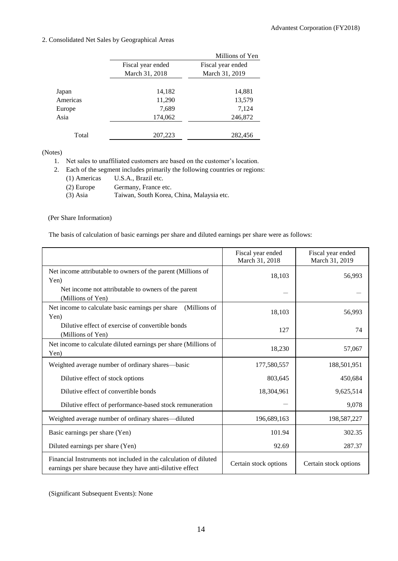## 2. Consolidated Net Sales by Geographical Areas

|          |                   | Millions of Yen   |
|----------|-------------------|-------------------|
|          | Fiscal year ended | Fiscal year ended |
|          | March 31, 2018    | March 31, 2019    |
|          |                   |                   |
| Japan    | 14,182            | 14,881            |
| Americas | 11,290            | 13,579            |
| Europe   | 7,689             | 7,124             |
| Asia     | 174,062           | 246,872           |
|          |                   |                   |
| Total    | 207,223           | 282,456           |

### (Notes)

1. Net sales to unaffiliated customers are based on the customer's location.

2. Each of the segment includes primarily the following countries or regions:

| (1) Americas | U.S.A., Brazil etc.                       |
|--------------|-------------------------------------------|
| $(2)$ Europe | Germany, France etc.                      |
| $(3)$ Asia   | Taiwan, South Korea, China, Malaysia etc. |

### (Per Share Information)

The basis of calculation of basic earnings per share and diluted earnings per share were as follows:

|                                                                                                                               | Fiscal year ended<br>March 31, 2018 | Fiscal year ended<br>March 31, 2019 |
|-------------------------------------------------------------------------------------------------------------------------------|-------------------------------------|-------------------------------------|
| Net income attributable to owners of the parent (Millions of<br>Yen)                                                          | 18,103                              | 56,993                              |
| Net income not attributable to owners of the parent<br>(Millions of Yen)                                                      |                                     |                                     |
| Net income to calculate basic earnings per share<br>(Millions of<br>Yen)                                                      | 18,103                              | 56,993                              |
| Dilutive effect of exercise of convertible bonds<br>(Millions of Yen)                                                         | 127                                 | 74                                  |
| Net income to calculate diluted earnings per share (Millions of<br>Yen)                                                       | 18,230                              | 57,067                              |
| Weighted average number of ordinary shares—basic                                                                              | 177,580,557                         | 188,501,951                         |
| Dilutive effect of stock options                                                                                              | 803,645                             | 450,684                             |
| Dilutive effect of convertible bonds                                                                                          | 18,304,961                          | 9,625,514                           |
| Dilutive effect of performance-based stock remuneration                                                                       |                                     | 9,078                               |
| Weighted average number of ordinary shares—diluted                                                                            | 196,689,163                         | 198,587,227                         |
| Basic earnings per share (Yen)                                                                                                | 101.94                              | 302.35                              |
| Diluted earnings per share (Yen)                                                                                              | 92.69                               | 287.37                              |
| Financial Instruments not included in the calculation of diluted<br>earnings per share because they have anti-dilutive effect | Certain stock options               | Certain stock options               |

(Significant Subsequent Events): None